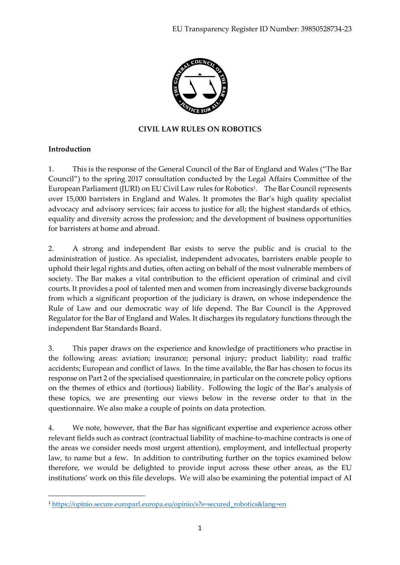

### **CIVIL LAW RULES ON ROBOTICS**

### **Introduction**

1

1. This is the response of the General Council of the Bar of England and Wales ("The Bar Council") to the spring 2017 consultation conducted by the Legal Affairs Committee of the European Parliament (JURI) on EU Civil Law rules for Robotics<sup>1</sup>. The Bar Council represents over 15,000 barristers in England and Wales. It promotes the Bar's high quality specialist advocacy and advisory services; fair access to justice for all; the highest standards of ethics, equality and diversity across the profession; and the development of business opportunities for barristers at home and abroad.

2. A strong and independent Bar exists to serve the public and is crucial to the administration of justice. As specialist, independent advocates, barristers enable people to uphold their legal rights and duties, often acting on behalf of the most vulnerable members of society. The Bar makes a vital contribution to the efficient operation of criminal and civil courts. It provides a pool of talented men and women from increasingly diverse backgrounds from which a significant proportion of the judiciary is drawn, on whose independence the Rule of Law and our democratic way of life depend. The Bar Council is the Approved Regulator for the Bar of England and Wales. It discharges its regulatory functions through the independent Bar Standards Board.

3. This paper draws on the experience and knowledge of practitioners who practise in the following areas: aviation; insurance; personal injury; product liability; road traffic accidents; European and conflict of laws. In the time available, the Bar has chosen to focus its response on Part 2 of the specialised questionnaire, in particular on the concrete policy options on the themes of ethics and (tortious) liability. Following the logic of the Bar's analysis of these topics, we are presenting our views below in the reverse order to that in the questionnaire. We also make a couple of points on data protection.

4. We note, however, that the Bar has significant expertise and experience across other relevant fields such as contract (contractual liability of machine-to-machine contracts is one of the areas we consider needs most urgent attention), employment, and intellectual property law, to name but a few. In addition to contributing further on the topics examined below therefore, we would be delighted to provide input across these other areas, as the EU institutions' work on this file develops. We will also be examining the potential impact of AI

<sup>&</sup>lt;sup>1</sup> [https://opinio.secure.europarl.europa.eu/opinio/s?s=secured\\_robotics&lang=en](https://opinio.secure.europarl.europa.eu/opinio/s?s=secured_robotics&lang=en)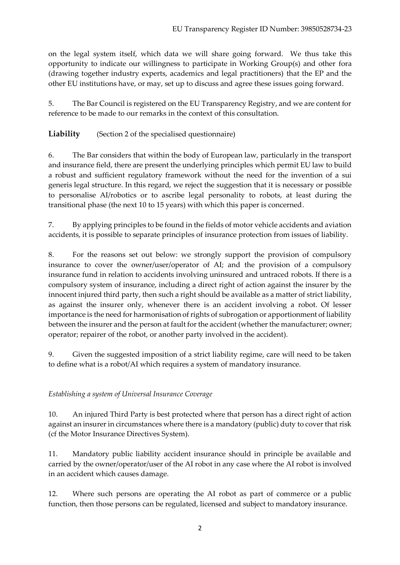on the legal system itself, which data we will share going forward. We thus take this opportunity to indicate our willingness to participate in Working Group(s) and other fora (drawing together industry experts, academics and legal practitioners) that the EP and the other EU institutions have, or may, set up to discuss and agree these issues going forward.

5. The Bar Council is registered on the EU Transparency Registry, and we are content for reference to be made to our remarks in the context of this consultation.

**Liability** (Section 2 of the specialised questionnaire)

6. The Bar considers that within the body of European law, particularly in the transport and insurance field, there are present the underlying principles which permit EU law to build a robust and sufficient regulatory framework without the need for the invention of a sui generis legal structure. In this regard, we reject the suggestion that it is necessary or possible to personalise AI/robotics or to ascribe legal personality to robots, at least during the transitional phase (the next 10 to 15 years) with which this paper is concerned.

7. By applying principles to be found in the fields of motor vehicle accidents and aviation accidents, it is possible to separate principles of insurance protection from issues of liability.

8. For the reasons set out below: we strongly support the provision of compulsory insurance to cover the owner/user/operator of AI; and the provision of a compulsory insurance fund in relation to accidents involving uninsured and untraced robots. If there is a compulsory system of insurance, including a direct right of action against the insurer by the innocent injured third party, then such a right should be available as a matter of strict liability, as against the insurer only, whenever there is an accident involving a robot. Of lesser importance is the need for harmonisation of rights of subrogation or apportionment of liability between the insurer and the person at fault for the accident (whether the manufacturer; owner; operator; repairer of the robot, or another party involved in the accident).

9. Given the suggested imposition of a strict liability regime, care will need to be taken to define what is a robot/AI which requires a system of mandatory insurance.

# *Establishing a system of Universal Insurance Coverage*

10. An injured Third Party is best protected where that person has a direct right of action against an insurer in circumstances where there is a mandatory (public) duty to cover that risk (cf the Motor Insurance Directives System).

11. Mandatory public liability accident insurance should in principle be available and carried by the owner/operator/user of the AI robot in any case where the AI robot is involved in an accident which causes damage.

12. Where such persons are operating the AI robot as part of commerce or a public function, then those persons can be regulated, licensed and subject to mandatory insurance.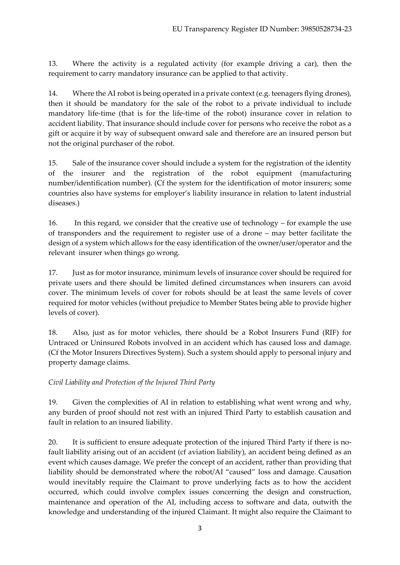13. Where the activity is a regulated activity (for example driving a car), then the requirement to carry mandatory insurance can be applied to that activity.

14. Where the AI robot is being operated in a private context (e.g. teenagers flying drones), then it should be mandatory for the sale of the robot to a private individual to include mandatory life-time (that is for the life-time of the robot) insurance cover in relation to accident liability. That insurance should include cover for persons who receive the robot as a gift or acquire it by way of subsequent onward sale and therefore are an insured person but not the original purchaser of the robot.

15. Sale of the insurance cover should include a system for the registration of the identity of the insurer and the registration of the robot equipment (manufacturing number/identification number). (Cf the system for the identification of motor insurers; some countries also have systems for employer's liability insurance in relation to latent industrial diseases.)

16. In this regard, we consider that the creative use of technology – for example the use of transponders and the requirement to register use of a drone – may better facilitate the design of a system which allows for the easy identification of the owner/user/operator and the relevant insurer when things go wrong.

17. Just as for motor insurance, minimum levels of insurance cover should be required for private users and there should be limited defined circumstances when insurers can avoid cover. The minimum levels of cover for robots should be at least the same levels of cover required for motor vehicles (without prejudice to Member States being able to provide higher levels of cover).

18. Also, just as for motor vehicles, there should be a Robot Insurers Fund (RIF) for Untraced or Uninsured Robots involved in an accident which has caused loss and damage. (Cf the Motor Insurers Directives System). Such a system should apply to personal injury and property damage claims.

*Civil Liability and Protection of the Injured Third Party*

19. Given the complexities of AI in relation to establishing what went wrong and why, any burden of proof should not rest with an injured Third Party to establish causation and fault in relation to an insured liability.

20. It is sufficient to ensure adequate protection of the injured Third Party if there is nofault liability arising out of an accident (cf aviation liability), an accident being defined as an event which causes damage. We prefer the concept of an accident, rather than providing that liability should be demonstrated where the robot/AI "caused" loss and damage. Causation would inevitably require the Claimant to prove underlying facts as to how the accident occurred, which could involve complex issues concerning the design and construction, maintenance and operation of the AI, including access to software and data, outwith the knowledge and understanding of the injured Claimant. It might also require the Claimant to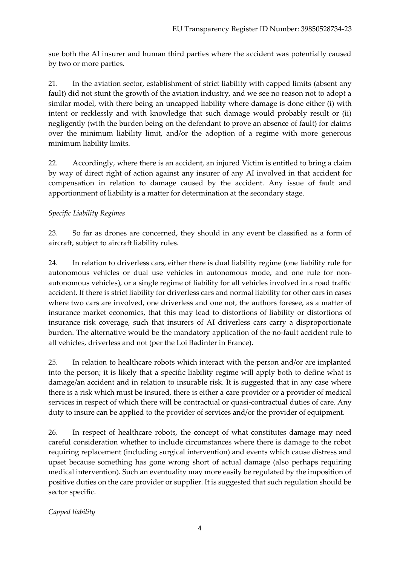sue both the AI insurer and human third parties where the accident was potentially caused by two or more parties.

21. In the aviation sector, establishment of strict liability with capped limits (absent any fault) did not stunt the growth of the aviation industry, and we see no reason not to adopt a similar model, with there being an uncapped liability where damage is done either (i) with intent or recklessly and with knowledge that such damage would probably result or (ii) negligently (with the burden being on the defendant to prove an absence of fault) for claims over the minimum liability limit, and/or the adoption of a regime with more generous minimum liability limits.

22. Accordingly, where there is an accident, an injured Victim is entitled to bring a claim by way of direct right of action against any insurer of any AI involved in that accident for compensation in relation to damage caused by the accident. Any issue of fault and apportionment of liability is a matter for determination at the secondary stage.

## *Specific Liability Regimes*

23. So far as drones are concerned, they should in any event be classified as a form of aircraft, subject to aircraft liability rules.

24. In relation to driverless cars, either there is dual liability regime (one liability rule for autonomous vehicles or dual use vehicles in autonomous mode, and one rule for nonautonomous vehicles), or a single regime of liability for all vehicles involved in a road traffic accident. If there is strict liability for driverless cars and normal liability for other cars in cases where two cars are involved, one driverless and one not, the authors foresee, as a matter of insurance market economics, that this may lead to distortions of liability or distortions of insurance risk coverage, such that insurers of AI driverless cars carry a disproportionate burden. The alternative would be the mandatory application of the no-fault accident rule to all vehicles, driverless and not (per the Loi Badinter in France).

25. In relation to healthcare robots which interact with the person and/or are implanted into the person; it is likely that a specific liability regime will apply both to define what is damage/an accident and in relation to insurable risk. It is suggested that in any case where there is a risk which must be insured, there is either a care provider or a provider of medical services in respect of which there will be contractual or quasi-contractual duties of care. Any duty to insure can be applied to the provider of services and/or the provider of equipment.

26. In respect of healthcare robots, the concept of what constitutes damage may need careful consideration whether to include circumstances where there is damage to the robot requiring replacement (including surgical intervention) and events which cause distress and upset because something has gone wrong short of actual damage (also perhaps requiring medical intervention). Such an eventuality may more easily be regulated by the imposition of positive duties on the care provider or supplier. It is suggested that such regulation should be sector specific.

*Capped liability*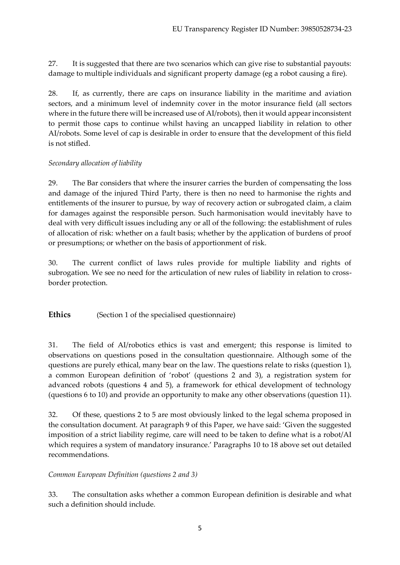27. It is suggested that there are two scenarios which can give rise to substantial payouts: damage to multiple individuals and significant property damage (eg a robot causing a fire).

28. If, as currently, there are caps on insurance liability in the maritime and aviation sectors, and a minimum level of indemnity cover in the motor insurance field (all sectors where in the future there will be increased use of AI/robots), then it would appear inconsistent to permit those caps to continue whilst having an uncapped liability in relation to other AI/robots. Some level of cap is desirable in order to ensure that the development of this field is not stifled.

## *Secondary allocation of liability*

29. The Bar considers that where the insurer carries the burden of compensating the loss and damage of the injured Third Party, there is then no need to harmonise the rights and entitlements of the insurer to pursue, by way of recovery action or subrogated claim, a claim for damages against the responsible person. Such harmonisation would inevitably have to deal with very difficult issues including any or all of the following: the establishment of rules of allocation of risk: whether on a fault basis; whether by the application of burdens of proof or presumptions; or whether on the basis of apportionment of risk.

30. The current conflict of laws rules provide for multiple liability and rights of subrogation. We see no need for the articulation of new rules of liability in relation to crossborder protection.

Ethics (Section 1 of the specialised questionnaire)

31. The field of AI/robotics ethics is vast and emergent; this response is limited to observations on questions posed in the consultation questionnaire. Although some of the questions are purely ethical, many bear on the law. The questions relate to risks (question 1), a common European definition of 'robot' (questions 2 and 3), a registration system for advanced robots (questions 4 and 5), a framework for ethical development of technology (questions 6 to 10) and provide an opportunity to make any other observations (question 11).

32. Of these, questions 2 to 5 are most obviously linked to the legal schema proposed in the consultation document. At paragraph 9 of this Paper, we have said: 'Given the suggested imposition of a strict liability regime, care will need to be taken to define what is a robot/AI which requires a system of mandatory insurance.' Paragraphs 10 to 18 above set out detailed recommendations.

# *Common European Definition (questions 2 and 3)*

33. The consultation asks whether a common European definition is desirable and what such a definition should include.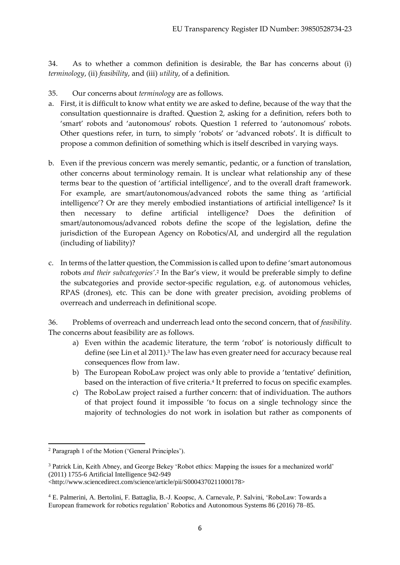34. As to whether a common definition is desirable, the Bar has concerns about (i) *terminology*, (ii) *feasibility*, and (iii) *utility*, of a definition.

35. Our concerns about *terminology* are as follows.

- a. First, it is difficult to know what entity we are asked to define, because of the way that the consultation questionnaire is drafted. Question 2, asking for a definition, refers both to 'smart' robots and 'autonomous' robots. Question 1 referred to 'autonomous' robots. Other questions refer, in turn, to simply 'robots' or 'advanced robots'. It is difficult to propose a common definition of something which is itself described in varying ways.
- b. Even if the previous concern was merely semantic, pedantic, or a function of translation, other concerns about terminology remain. It is unclear what relationship any of these terms bear to the question of 'artificial intelligence', and to the overall draft framework. For example, are smart/autonomous/advanced robots the same thing as 'artificial intelligence'? Or are they merely embodied instantiations of artificial intelligence? Is it then necessary to define artificial intelligence? Does the definition of smart/autonomous/advanced robots define the scope of the legislation, define the jurisdiction of the European Agency on Robotics/AI, and undergird all the regulation (including of liability)?
- c. In terms of the latter question, the Commission is called upon to define 'smart autonomous robots *and their subcategories'*.<sup>2</sup> In the Bar's view, it would be preferable simply to define the subcategories and provide sector-specific regulation, e.g. of autonomous vehicles, RPAS (drones), etc. This can be done with greater precision, avoiding problems of overreach and underreach in definitional scope.

36. Problems of overreach and underreach lead onto the second concern, that of *feasibility*. The concerns about feasibility are as follows.

- a) Even within the academic literature, the term 'robot' is notoriously difficult to define (see Lin et al 2011).<sup>3</sup> The law has even greater need for accuracy because real consequences flow from law.
- b) The European RoboLaw project was only able to provide a 'tentative' definition, based on the interaction of five criteria.<sup>4</sup> It preferred to focus on specific examples.
- c) The RoboLaw project raised a further concern: that of individuation. The authors of that project found it impossible 'to focus on a single technology since the majority of technologies do not work in isolation but rather as components of

<sup>1</sup> <sup>2</sup> Paragraph 1 of the Motion ('General Principles').

<sup>3</sup> Patrick Lin, Keith Abney, and George Bekey 'Robot ethics: Mapping the issues for a mechanized world' (2011) 1755-6 Artificial Intelligence 942-949

<sup>&</sup>lt;http://www.sciencedirect.com/science/article/pii/S0004370211000178>

<sup>4</sup> E. Palmerini, A. Bertolini, F. Battaglia, B.-J. Koopsc, A. Carnevale, P. Salvini, 'RoboLaw: Towards a European framework for robotics regulation' Robotics and Autonomous Systems 86 (2016) 78–85.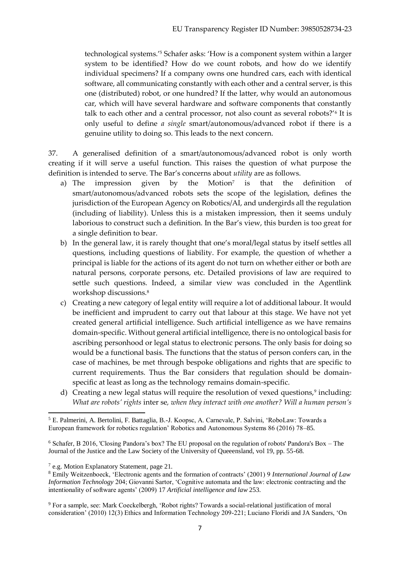technological systems.'<sup>5</sup> Schafer asks: 'How is a component system within a larger system to be identified? How do we count robots, and how do we identify individual specimens? If a company owns one hundred cars, each with identical software, all communicating constantly with each other and a central server, is this one (distributed) robot, or one hundred? If the latter, why would an autonomous car, which will have several hardware and software components that constantly talk to each other and a central processor, not also count as several robots?'<sup>6</sup> It is only useful to define *a single* smart/autonomous/advanced robot if there is a genuine utility to doing so. This leads to the next concern.

37. A generalised definition of a smart/autonomous/advanced robot is only worth creating if it will serve a useful function. This raises the question of what purpose the definition is intended to serve. The Bar's concerns about *utility* are as follows.

- a) The impression given by the Motion<sup>7</sup> is that the definition of smart/autonomous/advanced robots sets the scope of the legislation, defines the jurisdiction of the European Agency on Robotics/AI, and undergirds all the regulation (including of liability). Unless this is a mistaken impression, then it seems unduly laborious to construct such a definition. In the Bar's view, this burden is too great for a single definition to bear.
- b) In the general law, it is rarely thought that one's moral/legal status by itself settles all questions, including questions of liability. For example, the question of whether a principal is liable for the actions of its agent do not turn on whether either or both are natural persons, corporate persons, etc. Detailed provisions of law are required to settle such questions. Indeed, a similar view was concluded in the Agentlink workshop discussions.<sup>8</sup>
- c) Creating a new category of legal entity will require a lot of additional labour. It would be inefficient and imprudent to carry out that labour at this stage. We have not yet created general artificial intelligence. Such artificial intelligence as we have remains domain-specific. Without general artificial intelligence, there is no ontological basis for ascribing personhood or legal status to electronic persons. The only basis for doing so would be a functional basis. The functions that the status of person confers can, in the case of machines, be met through bespoke obligations and rights that are specific to current requirements. Thus the Bar considers that regulation should be domainspecific at least as long as the technology remains domain-specific.
- d) Creating a new legal status will require the resolution of vexed questions,<sup>9</sup> including: *What are robots' rights* inter se*, when they interact with one another? Will a human person's*

<sup>1</sup> <sup>5</sup> E. Palmerini, A. Bertolini, F. Battaglia, B.-J. Koopsc, A. Carnevale, P. Salvini, 'RoboLaw: Towards a European framework for robotics regulation' Robotics and Autonomous Systems 86 (2016) 78–85.

<sup>6</sup> Schafer, B 2016, 'Closing Pandora's box? The EU proposal on the regulation of robots' Pandora's Box – The Journal of the Justice and the Law Society of the University of Queeensland, vol 19, pp. 55-68.

<sup>&</sup>lt;sup>7</sup> e.g. Motion Explanatory Statement, page 21.

<sup>8</sup> Emily Weitzenboeck, 'Electronic agents and the formation of contracts' (2001) 9 *International Journal of Law Information Technology* 204; Giovanni Sartor, 'Cognitive automata and the law: electronic contracting and the intentionality of software agents' (2009) 17 *Artificial intelligence and law* 253.

<sup>9</sup> For a sample, see: Mark Coeckelbergh, 'Robot rights? Towards a social-relational justification of moral consideration' (2010) 12(3) Ethics and Information Technology 209-221; Luciano Floridi and JA Sanders, 'On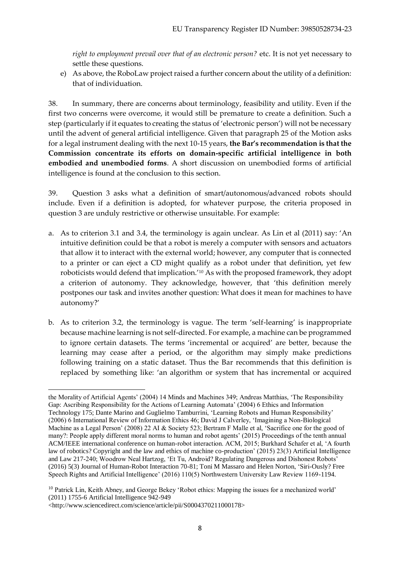*right to employment prevail over that of an electronic person?* etc. It is not yet necessary to settle these questions.

e) As above, the RoboLaw project raised a further concern about the utility of a definition: that of individuation.

38. In summary, there are concerns about terminology, feasibility and utility. Even if the first two concerns were overcome, it would still be premature to create a definition. Such a step (particularly if it equates to creating the status of 'electronic person') will not be necessary until the advent of general artificial intelligence. Given that paragraph 25 of the Motion asks for a legal instrument dealing with the next 10-15 years, **the Bar's recommendation is that the Commission concentrate its efforts on domain-specific artificial intelligence in both embodied and unembodied forms**. A short discussion on unembodied forms of artificial intelligence is found at the conclusion to this section.

39. Question 3 asks what a definition of smart/autonomous/advanced robots should include. Even if a definition is adopted, for whatever purpose, the criteria proposed in question 3 are unduly restrictive or otherwise unsuitable. For example:

- a. As to criterion 3.1 and 3.4, the terminology is again unclear. As Lin et al (2011) say: 'An intuitive definition could be that a robot is merely a computer with sensors and actuators that allow it to interact with the external world; however, any computer that is connected to a printer or can eject a CD might qualify as a robot under that definition, yet few roboticists would defend that implication.'<sup>10</sup> As with the proposed framework, they adopt a criterion of autonomy. They acknowledge, however, that 'this definition merely postpones our task and invites another question: What does it mean for machines to have autonomy?'
- b. As to criterion 3.2, the terminology is vague. The term 'self-learning' is inappropriate because machine learning is not self-directed. For example, a machine can be programmed to ignore certain datasets. The terms 'incremental or acquired' are better, because the learning may cease after a period, or the algorithm may simply make predictions following training on a static dataset. Thus the Bar recommends that this definition is replaced by something like: 'an algorithm or system that has incremental or acquired

<sup>1</sup> the Morality of Artificial Agents' (2004) 14 Minds and Machines 349; Andreas Matthias, 'The Responsibility Gap: Ascribing Responsibility for the Actions of Learning Automata' (2004) 6 Ethics and Information Technology 175; Dante Marino and Guglielmo Tamburrini, 'Learning Robots and Human Responsibility' (2006) 6 International Review of Information Ethics 46; David J Calverley, 'Imagining a Non-Biological Machine as a Legal Person' (2008) 22 AI & Society 523; Bertram F Malle et al, 'Sacrifice one for the good of many?: People apply different moral norms to human and robot agents' (2015) Proceedings of the tenth annual ACM/IEEE international conference on human-robot interaction. ACM, 2015; Burkhard Schafer et al, 'A fourth law of robotics? Copyright and the law and ethics of machine co-production' (2015) 23(3) Artificial Intelligence and Law 217-240; Woodrow Neal Hartzog, 'Et Tu, Android? Regulating Dangerous and Dishonest Robots' (2016) 5(3) Journal of Human-Robot Interaction 70-81; Toni M Massaro and Helen Norton, 'Siri-Ously? Free Speech Rights and Artificial Intelligence' (2016) 110(5) Northwestern University Law Review 1169-1194.

<sup>&</sup>lt;sup>10</sup> Patrick Lin, Keith Abney, and George Bekey 'Robot ethics: Mapping the issues for a mechanized world' (2011) 1755-6 Artificial Intelligence 942-949

<sup>&</sup>lt;http://www.sciencedirect.com/science/article/pii/S0004370211000178>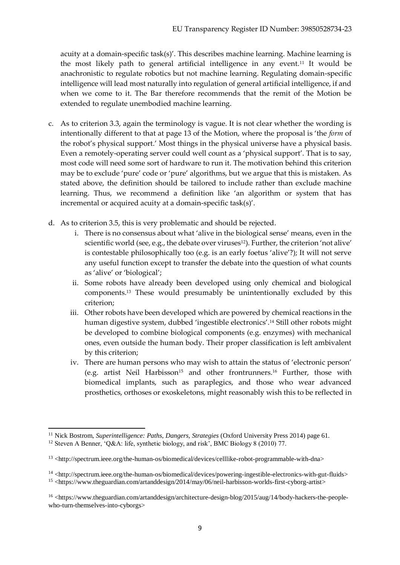acuity at a domain-specific task(s)'. This describes machine learning. Machine learning is the most likely path to general artificial intelligence in any event.<sup>11</sup> It would be anachronistic to regulate robotics but not machine learning. Regulating domain-specific intelligence will lead most naturally into regulation of general artificial intelligence, if and when we come to it. The Bar therefore recommends that the remit of the Motion be extended to regulate unembodied machine learning.

- c. As to criterion 3.3, again the terminology is vague. It is not clear whether the wording is intentionally different to that at page 13 of the Motion, where the proposal is 'the *form* of the robot's physical support.' Most things in the physical universe have a physical basis. Even a remotely-operating server could well count as a 'physical support'. That is to say, most code will need some sort of hardware to run it. The motivation behind this criterion may be to exclude 'pure' code or 'pure' algorithms, but we argue that this is mistaken. As stated above, the definition should be tailored to include rather than exclude machine learning. Thus, we recommend a definition like 'an algorithm or system that has incremental or acquired acuity at a domain-specific task(s)'.
- d. As to criterion 3.5, this is very problematic and should be rejected.
	- i. There is no consensus about what 'alive in the biological sense' means, even in the scientific world (see, e.g., the debate over viruses<sup>12</sup>). Further, the criterion 'not alive' is contestable philosophically too (e.g. is an early foetus 'alive'?); It will not serve any useful function except to transfer the debate into the question of what counts as 'alive' or 'biological';
	- ii. Some robots have already been developed using only chemical and biological components.<sup>13</sup> These would presumably be unintentionally excluded by this criterion;
	- iii. Other robots have been developed which are powered by chemical reactions in the human digestive system, dubbed 'ingestible electronics'.<sup>14</sup> Still other robots might be developed to combine biological components (e.g. enzymes) with mechanical ones, even outside the human body. Their proper classification is left ambivalent by this criterion;
	- iv. There are human persons who may wish to attain the status of 'electronic person' (e.g. artist Neil Harbisson<sup>15</sup> and other frontrunners.<sup>16</sup> Further, those with biomedical implants, such as paraplegics, and those who wear advanced prosthetics, orthoses or exoskeletons, might reasonably wish this to be reflected in

<sup>1</sup> <sup>11</sup> Nick Bostrom, *Superintelligence: Paths, Dangers, Strategies* (Oxford University Press 2014) page 61.

<sup>12</sup> Steven A Benner, 'Q&A: life, synthetic biology, and risk', BMC Biology 8 (2010) 77.

<sup>13</sup> <http://spectrum.ieee.org/the-human-os/biomedical/devices/celllike-robot-programmable-with-dna>

 $14$  <http://spectrum.ieee.org/the-human-os/biomedical/devices/powering-ingestible-electronics-with-gut-fluids> <sup>15</sup> <https://www.theguardian.com/artanddesign/2014/may/06/neil-harbisson-worlds-first-cyborg-artist>

<sup>&</sup>lt;sup>16</sup> <https://www.theguardian.com/artanddesign/architecture-design-blog/2015/aug/14/body-hackers-the-peoplewho-turn-themselves-into-cyborgs>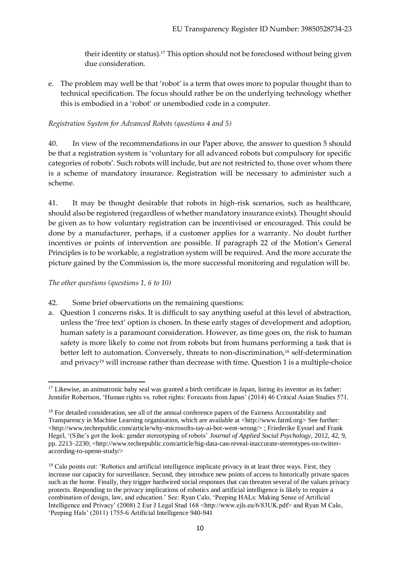their identity or status).<sup>17</sup> This option should not be foreclosed without being given due consideration.

e. The problem may well be that 'robot' is a term that owes more to popular thought than to technical specification. The focus should rather be on the underlying technology whether this is embodied in a 'robot' or unembodied code in a computer.

#### *Registration System for Advanced Robots (questions 4 and 5)*

40. In view of the recommendations in our Paper above, the answer to question 5 should be that a registration system is 'voluntary for all advanced robots but compulsory for specific categories of robots'. Such robots will include, but are not restricted to, those over whom there is a scheme of mandatory insurance. Registration will be necessary to administer such a scheme.

41. It may be thought desirable that robots in high-risk scenarios, such as healthcare, should also be registered (regardless of whether mandatory insurance exists). Thought should be given as to how voluntary registration can be incentivised or encouraged. This could be done by a manufacturer, perhaps, if a customer applies for a warranty. No doubt further incentives or points of intervention are possible. If paragraph 22 of the Motion's General Principles is to be workable, a registration system will be required. And the more accurate the picture gained by the Commission is, the more successful monitoring and regulation will be.

#### *The other questions (questions 1, 6 to 10)*

- 42. Some brief observations on the remaining questions:
- a. Question 1 concerns risks. It is difficult to say anything useful at this level of abstraction, unless the 'free text' option is chosen. In these early stages of development and adoption, human safety is a paramount consideration. However, as time goes on, the risk to human safety is more likely to come not from robots but from humans performing a task that is better left to automation. Conversely, threats to non-discrimination,<sup>18</sup> self-determination and privacy<sup>19</sup> will increase rather than decrease with time. Question 1 is a multiple-choice

<sup>1</sup> <sup>17</sup> Likewise, an animatronic baby seal was granted a birth certificate in Japan, listing its inventor as its father: Jennifer Robertson, 'Human rights vs. robot rights: Forecasts from Japan' (2014) 46 Critical Asian Studies 571.

<sup>&</sup>lt;sup>18</sup> For detailed consideration, see all of the annual conference papers of the Fairness Accountability and Transparency in Machine Learning organisation, which are available at <http://www.fatml.org> See further: <http://www.techrepublic.com/article/why-microsofts-tay-ai-bot-went-wrong/>; Friederike Eyssel and Frank Hegel, '(S)he's got the look: gender stereotyping of robots' *Journal of Applied Social Psychology,* 2012, 42, 9, pp. 2213–2230; <http://www.techrepublic.com/article/big-data-can-reveal-inaccurate-stereotypes-on-twitteraccording-to-upenn-study/>

<sup>&</sup>lt;sup>19</sup> Calo points out: 'Robotics and artificial intelligence implicate privacy in at least three ways. First, they increase our capacity for surveillance. Second, they introduce new points of access to historically private spaces such as the home. Finally, they trigger hardwired social responses that can threaten several of the values privacy protects. Responding to the privacy implications of robotics and artificial intelligence is likely to require a combination of design, law, and education.' See: Ryan Calo, 'Peeping HALs: Making Sense of Artificial Intelligence and Privacy' (2008) 2 Eur J Legal Stud 168 <http://www.ejls.eu/6/83UK.pdf> and Ryan M Calo, 'Peeping Hals' (2011) 1755-6 Artificial Intelligence 940-941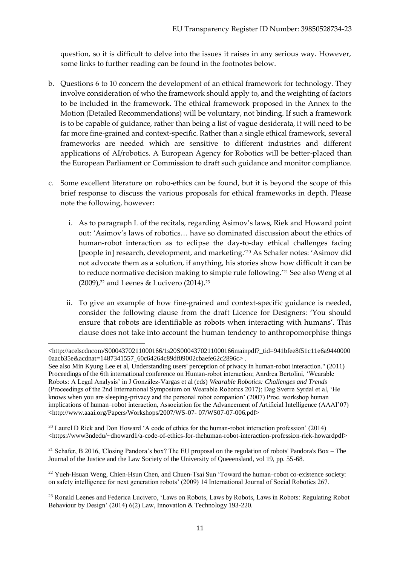question, so it is difficult to delve into the issues it raises in any serious way. However, some links to further reading can be found in the footnotes below.

- b. Questions 6 to 10 concern the development of an ethical framework for technology. They involve consideration of who the framework should apply to, and the weighting of factors to be included in the framework. The ethical framework proposed in the Annex to the Motion (Detailed Recommendations) will be voluntary, not binding. If such a framework is to be capable of guidance, rather than being a list of vague desiderata, it will need to be far more fine-grained and context-specific. Rather than a single ethical framework, several frameworks are needed which are sensitive to different industries and different applications of AI/robotics. A European Agency for Robotics will be better-placed than the European Parliament or Commission to draft such guidance and monitor compliance.
- c. Some excellent literature on robo-ethics can be found, but it is beyond the scope of this brief response to discuss the various proposals for ethical frameworks in depth. Please note the following, however:
	- i. As to paragraph L of the recitals, regarding Asimov's laws, Riek and Howard point out: 'Asimov's laws of robotics… have so dominated discussion about the ethics of human-robot interaction as to eclipse the day-to-day ethical challenges facing [people in] research, development, and marketing.'<sup>20</sup> As Schafer notes: 'Asimov did not advocate them as a solution, if anything, his stories show how difficult it can be to reduce normative decision making to simple rule following.'<sup>21</sup> See also Weng et al  $(2009)$ ,<sup>22</sup> and Leenes & Lucivero  $(2014)$ ,<sup>23</sup>
	- ii. To give an example of how fine-grained and context-specific guidance is needed, consider the following clause from the draft Licence for Designers: 'You should ensure that robots are identifiable as robots when interacting with humans'. This clause does not take into account the human tendency to anthropomorphise things

<sup>20</sup> Laurel D Riek and Don Howard 'A code of ethics for the human-robot interaction profession' (2014)  $\lt$ https://www3ndedu/~dhoward1/a-code-of-ethics-for-thehuman-robot-interaction-profession-riek-howardpdf>

<sup>21</sup> Schafer, B 2016, 'Closing Pandora's box? The EU proposal on the regulation of robots' Pandora's Box – The Journal of the Justice and the Law Society of the University of Queeensland, vol 19, pp. 55-68.

 $22$  Yueh-Hsuan Weng, Chien-Hsun Chen, and Chuen-Tsai Sun 'Toward the human–robot co-existence society: on safety intelligence for next generation robots' (2009) 14 International Journal of Social Robotics 267.

<sup>23</sup> Ronald Leenes and Federica Lucivero, 'Laws on Robots, Laws by Robots, Laws in Robots: Regulating Robot Behaviour by Design' (2014) 6(2) Law, Innovation & Technology 193-220.

<sup>1</sup> <http://acelscdncom/S0004370211000166/1s20S0004370211000166mainpdf?\_tid=941bfee8f51c11e6a9440000 0aacb35e&acdnat=1487341557\_60c64264c89df09002cbaefe62c2896c> .

See also Min Kyung Lee et al, Understanding users' perception of privacy in human-robot interaction." (2011) Proceedings of the 6th international conference on Human-robot interaction; Anrdrea Bertolini, 'Wearable Robots: A Legal Analysis' in J González-Vargas et al (eds) *Wearable Robotics: Challenges and Trends* (Proceedings of the 2nd International Symposium on Wearable Robotics 2017); Dag Sverre Syrdal et al, 'He knows when you are sleeping-privacy and the personal robot companion' (2007) Proc. workshop human implications of human–robot interaction, Association for the Advancement of Artificial Intelligence (AAAI'07) <http://www.aaai.org/Papers/Workshops/2007/WS-07- 07/WS07-07-006.pdf>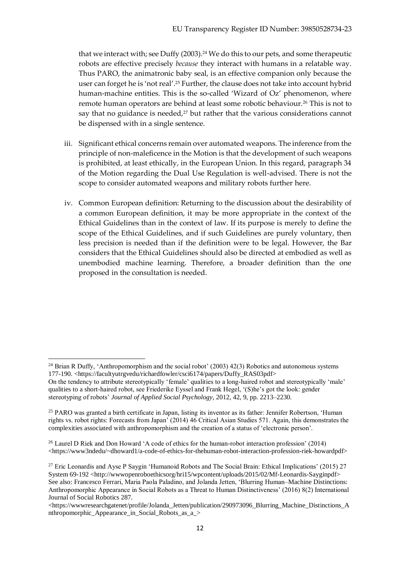that we interact with; see Duffy (2003).<sup>24</sup> We do this to our pets, and some therapeutic robots are effective precisely *because* they interact with humans in a relatable way. Thus PARO, the animatronic baby seal, is an effective companion only because the user can forget he is 'not real'.<sup>25</sup> Further, the clause does not take into account hybrid human-machine entities. This is the so-called 'Wizard of Oz' phenomenon, where remote human operators are behind at least some robotic behaviour.<sup>26</sup> This is not to say that no guidance is needed, $27$  but rather that the various considerations cannot be dispensed with in a single sentence.

- iii. Significant ethical concerns remain over automated weapons. The inference from the principle of non-maleficence in the Motion is that the development of such weapons is prohibited, at least ethically, in the European Union. In this regard, paragraph 34 of the Motion regarding the Dual Use Regulation is well-advised. There is not the scope to consider automated weapons and military robots further here.
- iv. Common European definition: Returning to the discussion about the desirability of a common European definition, it may be more appropriate in the context of the Ethical Guidelines than in the context of law. If its purpose is merely to define the scope of the Ethical Guidelines, and if such Guidelines are purely voluntary, then less precision is needed than if the definition were to be legal. However, the Bar considers that the Ethical Guidelines should also be directed at embodied as well as unembodied machine learning. Therefore, a broader definition than the one proposed in the consultation is needed.

1

 $24$  Brian R Duffy, 'Anthropomorphism and the social robot' (2003) 42(3) Robotics and autonomous systems 177-190. <https://facultyutrgvedu/richardfowler/csci6174/papers/Duffy\_RAS03pdf>

On the tendency to attribute stereotypically 'female' qualities to a long-haired robot and stereotypically 'male' qualities to a short-haired robot, see Friederike Eyssel and Frank Hegel, '(S)he's got the look: gender stereotyping of robots' *Journal of Applied Social Psychology,* 2012, 42, 9, pp. 2213–2230.

<sup>&</sup>lt;sup>25</sup> PARO was granted a birth certificate in Japan, listing its inventor as its father: Jennifer Robertson, 'Human rights vs. robot rights: Forecasts from Japan' (2014) 46 Critical Asian Studies 571. Again, this demonstrates the complexities associated with anthropomorphism and the creation of a status of 'electronic person'.

<sup>26</sup> Laurel D Riek and Don Howard 'A code of ethics for the human-robot interaction profession' (2014) <https://www3ndedu/~dhoward1/a-code-of-ethics-for-thehuman-robot-interaction-profession-riek-howardpdf>

<sup>&</sup>lt;sup>27</sup> Eric Leonardis and Ayse P Saygin 'Humanoid Robots and The Social Brain: Ethical Implications' (2015) 27 System 69-192 <http://www.openroboethicsorg/hri15/wpcontent/uploads/2015/02/Mf-Leonardis-Sayginpdf> See also: Francesco Ferrari, Maria Paola Paladino, and Jolanda Jetten, 'Blurring Human–Machine Distinctions: Anthropomorphic Appearance in Social Robots as a Threat to Human Distinctiveness' (2016) 8(2) International Journal of Social Robotics 287.

 $\lt$ https://wwwresearchgatenet/profile/Jolanda\_Jetten/publication/290973096\_Blurring\_Machine\_Distinctions\_A nthropomorphic\_Appearance\_in\_Social\_Robots\_as\_a\_>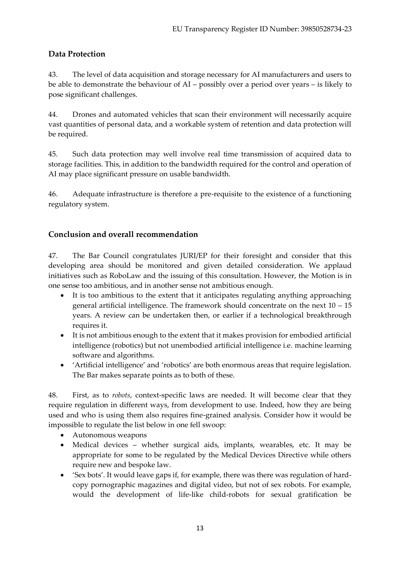## **Data Protection**

43. The level of data acquisition and storage necessary for AI manufacturers and users to be able to demonstrate the behaviour of AI – possibly over a period over years – is likely to pose significant challenges.

44. Drones and automated vehicles that scan their environment will necessarily acquire vast quantities of personal data, and a workable system of retention and data protection will be required.

45. Such data protection may well involve real time transmission of acquired data to storage facilities. This, in addition to the bandwidth required for the control and operation of AI may place significant pressure on usable bandwidth.

46. Adequate infrastructure is therefore a pre-requisite to the existence of a functioning regulatory system.

## **Conclusion and overall recommendation**

47. The Bar Council congratulates JURI/EP for their foresight and consider that this developing area should be monitored and given detailed consideration. We applaud initiatives such as RoboLaw and the issuing of this consultation. However, the Motion is in one sense too ambitious, and in another sense not ambitious enough.

- It is too ambitious to the extent that it anticipates regulating anything approaching general artificial intelligence. The framework should concentrate on the next 10 – 15 years. A review can be undertaken then, or earlier if a technological breakthrough requires it.
- It is not ambitious enough to the extent that it makes provision for embodied artificial intelligence (robotics) but not unembodied artificial intelligence i.e. machine learning software and algorithms.
- 'Artificial intelligence' and 'robotics' are both enormous areas that require legislation. The Bar makes separate points as to both of these.

48. First, as to *robots*, context-specific laws are needed. It will become clear that they require regulation in different ways, from development to use. Indeed, how they are being used and who is using them also requires fine-grained analysis. Consider how it would be impossible to regulate the list below in one fell swoop:

- Autonomous weapons
- Medical devices whether surgical aids, implants, wearables, etc. It may be appropriate for some to be regulated by the Medical Devices Directive while others require new and bespoke law.
- 'Sex bots'. It would leave gaps if, for example, there was there was regulation of hardcopy pornographic magazines and digital video, but not of sex robots. For example, would the development of life-like child-robots for sexual gratification be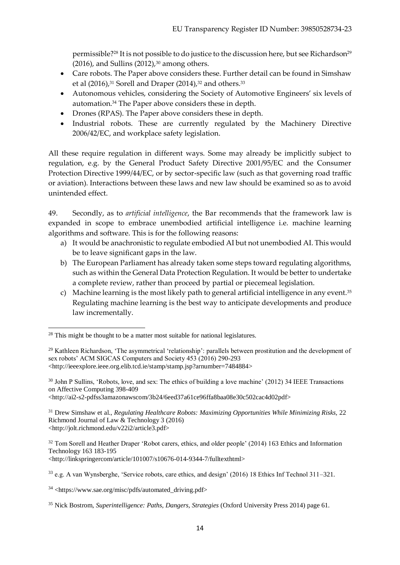permissible?<sup>28</sup> It is not possible to do justice to the discussion here, but see Richardson<sup>29</sup> (2016), and Sullins (2012), $30$  among others.

- Care robots. The Paper above considers these. Further detail can be found in Simshaw et al (2016),<sup>31</sup> Sorell and Draper (2014),<sup>32</sup> and others.<sup>33</sup>
- Autonomous vehicles, considering the Society of Automotive Engineers' six levels of automation.<sup>34</sup> The Paper above considers these in depth.
- Drones (RPAS). The Paper above considers these in depth.
- Industrial robots. These are currently regulated by the Machinery Directive 2006/42/EC, and workplace safety legislation.

All these require regulation in different ways. Some may already be implicitly subject to regulation, e.g. by the General Product Safety Directive 2001/95/EC and the Consumer Protection Directive 1999/44/EC, or by sector-specific law (such as that governing road traffic or aviation). Interactions between these laws and new law should be examined so as to avoid unintended effect.

49. Secondly, as to *artificial intelligence*, the Bar recommends that the framework law is expanded in scope to embrace unembodied artificial intelligence i.e. machine learning algorithms and software. This is for the following reasons:

- a) It would be anachronistic to regulate embodied AI but not unembodied AI. This would be to leave significant gaps in the law.
- b) The European Parliament has already taken some steps toward regulating algorithms, such as within the General Data Protection Regulation. It would be better to undertake a complete review, rather than proceed by partial or piecemeal legislation.
- c) Machine learning is the most likely path to general artificial intelligence in any event.<sup>35</sup> Regulating machine learning is the best way to anticipate developments and produce law incrementally.

<http://ai2-s2-pdfss3amazonawscom/3b24/6eed37a61ce96ffa8baa08e30c502cac4d02pdf>

<sup>31</sup> Drew Simshaw et al., *Regulating Healthcare Robots: Maximizing Opportunities While Minimizing Risks,* 22 Richmond Journal of Law & Technology 3 (2016) <http://jolt.richmond.edu/v22i2/article3.pdf>

<sup>32</sup> Tom Sorell and Heather Draper 'Robot carers, ethics, and older people' (2014) 163 Ethics and Information Technology 163 183-195

<http://linkspringercom/article/101007/s10676-014-9344-7/fulltexthtml>

<sup>33</sup> e.g. A van Wynsberghe, 'Service robots, care ethics, and design' (2016) 18 Ethics Inf Technol 311–321.

 $34$  <https://www.sae.org/misc/pdfs/automated\_driving.pdf>

<sup>1</sup>  $28$  This might be thought to be a matter most suitable for national legislatures.

<sup>&</sup>lt;sup>29</sup> Kathleen Richardson, 'The asymmetrical 'relationship': parallels between prostitution and the development of sex robots' ACM SIGCAS Computers and Society 453 (2016) 290-293 <http://ieeexplore.ieee.org.elib.tcd.ie/stamp/stamp.jsp?arnumber=7484884>

<sup>&</sup>lt;sup>30</sup> John P Sullins, 'Robots, love, and sex: The ethics of building a love machine' (2012) 34 IEEE Transactions on Affective Computing 398-409

<sup>35</sup> Nick Bostrom, *Superintelligence: Paths, Dangers, Strategies* (Oxford University Press 2014) page 61.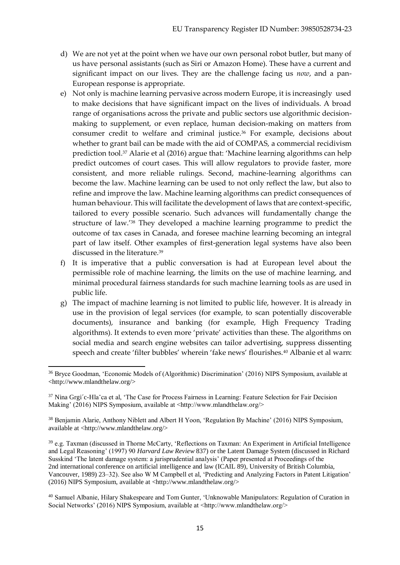- d) We are not yet at the point when we have our own personal robot butler, but many of us have personal assistants (such as Siri or Amazon Home). These have a current and significant impact on our lives. They are the challenge facing us *now*, and a pan-European response is appropriate.
- e) Not only is machine learning pervasive across modern Europe, it is increasingly used to make decisions that have significant impact on the lives of individuals. A broad range of organisations across the private and public sectors use algorithmic decisionmaking to supplement, or even replace, human decision-making on matters from consumer credit to welfare and criminal justice.<sup>36</sup> For example, decisions about whether to grant bail can be made with the aid of COMPAS, a commercial recidivism prediction tool.<sup>37</sup> Alarie et al (2016) argue that: 'Machine learning algorithms can help predict outcomes of court cases. This will allow regulators to provide faster, more consistent, and more reliable rulings. Second, machine-learning algorithms can become the law. Machine learning can be used to not only reflect the law, but also to refine and improve the law. Machine learning algorithms can predict consequences of human behaviour. This will facilitate the development of laws that are context-specific, tailored to every possible scenario. Such advances will fundamentally change the structure of law.'<sup>38</sup> They developed a machine learning programme to predict the outcome of tax cases in Canada, and foresee machine learning becoming an integral part of law itself. Other examples of first-generation legal systems have also been discussed in the literature.<sup>39</sup>
- f) It is imperative that a public conversation is had at European level about the permissible role of machine learning, the limits on the use of machine learning, and minimal procedural fairness standards for such machine learning tools as are used in public life.
- g) The impact of machine learning is not limited to public life, however. It is already in use in the provision of legal services (for example, to scan potentially discoverable documents), insurance and banking (for example, High Frequency Trading algorithms). It extends to even more 'private' activities than these. The algorithms on social media and search engine websites can tailor advertising, suppress dissenting speech and create 'filter bubbles' wherein 'fake news' flourishes.<sup>40</sup> Albanie et al warn:

<sup>1</sup> <sup>36</sup> Bryce Goodman, 'Economic Models of (Algorithmic) Discrimination' (2016) NIPS Symposium, available at <http://www.mlandthelaw.org/>

<sup>&</sup>lt;sup>37</sup> Nina Grgi<sup> $\text{c}-$ Hla $\text{c}$ ca et al, 'The Case for Process Fairness in Learning: Feature Selection for Fair Decision</sup> Making' (2016) NIPS Symposium, available at <http://www.mlandthelaw.org/>

<sup>38</sup> Benjamin Alarie, Anthony Niblett and Albert H Yoon, 'Regulation By Machine' (2016) NIPS Symposium, available at <http://www.mlandthelaw.org/>

<sup>39</sup> e.g. Taxman (discussed in Thorne McCarty, 'Reflections on Taxman: An Experiment in Artificial Intelligence and Legal Reasoning' (1997) 90 *Harvard Law Review* 837) or the Latent Damage System (discussed in Richard Susskind 'The latent damage system: a jurisprudential analysis' (Paper presented at Proceedings of the 2nd international conference on artificial intelligence and law (ICAIL 89), University of British Columbia, Vancouver, 1989) 23–32). See also W M Campbell et al, 'Predicting and Analyzing Factors in Patent Litigation' (2016) NIPS Symposium, available at <http://www.mlandthelaw.org/>

<sup>40</sup> Samuel Albanie, Hilary Shakespeare and Tom Gunter, 'Unknowable Manipulators: Regulation of Curation in Social Networks' (2016) NIPS Symposium, available at <http://www.mlandthelaw.org/>